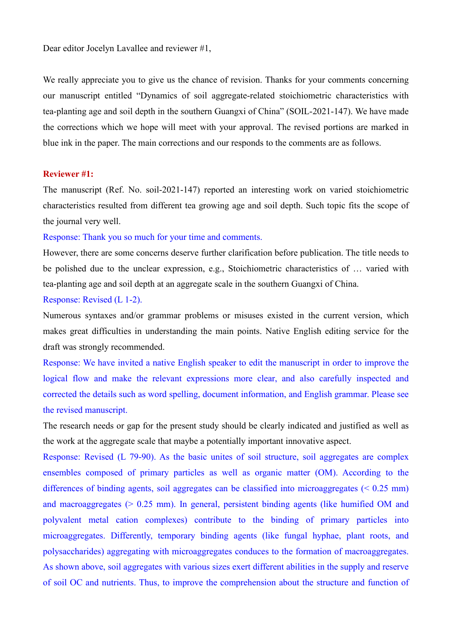Dear editor Jocelyn Lavallee and reviewer #1,

We really appreciate you to give us the chance of revision. Thanks for your comments concerning our manuscript entitled "Dynamics of soil aggregate-related stoichiometric characteristics with tea-planting age and soil depth in the southern Guangxi of China" (SOIL-2021-147). We have made the corrections which we hope will meet with your approval. The revised portions are marked in blue ink in the paper. The main corrections and our responds to the comments are as follows.

## **Reviewer #1:**

The manuscript (Ref. No. soil-2021-147) reported an interesting work on varied stoichiometric characteristics resulted from different tea growing age and soil depth. Such topic fits the scope of the journal very well.

## Response: Thank you so much for your time and comments.

However, there are some concerns deserve further clarification before publication. The title needs to be polished due to the unclear expression, e.g., Stoichiometric characteristics of … varied with tea-planting age and soil depth at an aggregate scale in the southern Guangxi of China.

## Response: Revised (L 1-2).

Numerous syntaxes and/or grammar problems or misuses existed in the current version, which makes great difficulties in understanding the main points. Native English editing service for the draft was strongly recommended.

Response: We have invited a native English speaker to edit the manuscript in order to improve the logical flow and make the relevant expressions more clear, and also carefully inspected and corrected the details such as word spelling, document information, and English grammar. Please see the revised manuscript.

The research needs or gap for the present study should be clearly indicated and justified as well as the work at the aggregate scale that maybe a potentially important innovative aspect.

Response: Revised (L 79-90). As the basic unites of soil structure, soil aggregates are complex ensembles composed of primary particles as well as organic matter (OM). According to the differences of binding agents, soil aggregates can be classified into microaggregates (< 0.25 mm) and macroaggregates  $(> 0.25 \text{ mm})$ . In general, persistent binding agents (like humified OM and polyvalent metal cation complexes) contribute to the binding of primary particles into microaggregates. Differently, temporary binding agents (like fungal hyphae, plant roots, and polysaccharides) aggregating with microaggregates conduces to the formation of macroaggregates. As shown above, soil aggregates with various sizes exert different abilities in the supply and reserve of soil OC and nutrients. Thus, to improve the comprehension about the structure and function of